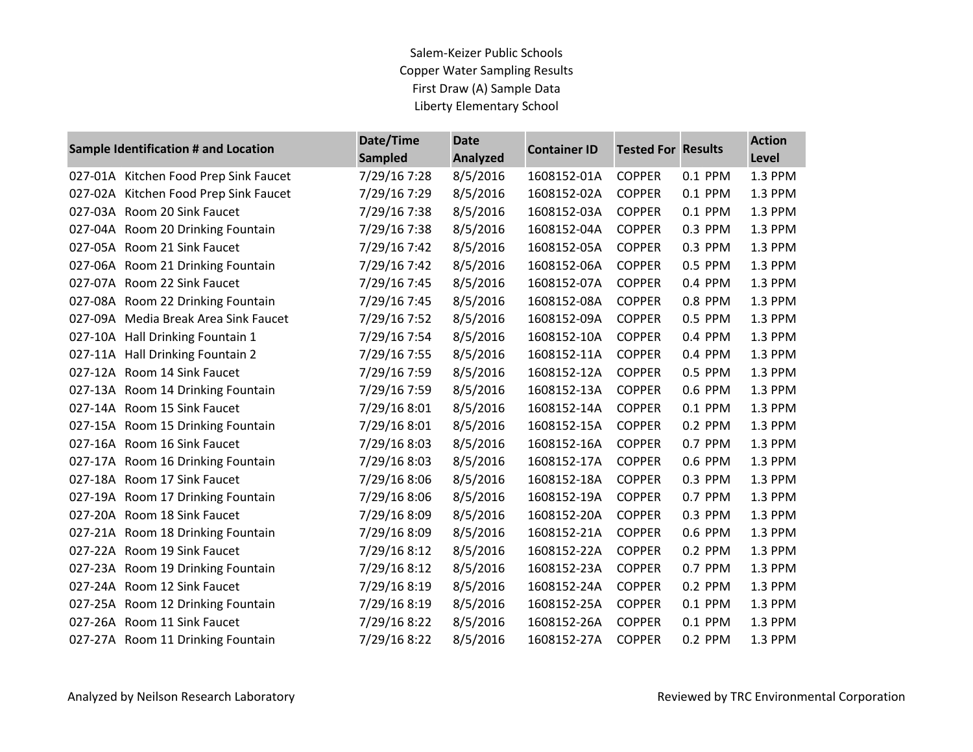## Salem-Keizer Public Schools Copper Water Sampling Results First Draw (A) Sample Data Liberty Elementary School

| <b>Sample Identification # and Location</b> |                                       | Date/Time      | <b>Date</b><br><b>Analyzed</b> | <b>Container ID</b> | <b>Tested For Results</b> |         | <b>Action</b> |
|---------------------------------------------|---------------------------------------|----------------|--------------------------------|---------------------|---------------------------|---------|---------------|
|                                             |                                       | <b>Sampled</b> |                                |                     |                           |         | Level         |
|                                             | 027-01A Kitchen Food Prep Sink Faucet | 7/29/16 7:28   | 8/5/2016                       | 1608152-01A         | <b>COPPER</b>             | 0.1 PPM | 1.3 PPM       |
|                                             | 027-02A Kitchen Food Prep Sink Faucet | 7/29/16 7:29   | 8/5/2016                       | 1608152-02A         | <b>COPPER</b>             | 0.1 PPM | 1.3 PPM       |
|                                             | 027-03A Room 20 Sink Faucet           | 7/29/16 7:38   | 8/5/2016                       | 1608152-03A         | <b>COPPER</b>             | 0.1 PPM | 1.3 PPM       |
|                                             | 027-04A Room 20 Drinking Fountain     | 7/29/16 7:38   | 8/5/2016                       | 1608152-04A         | <b>COPPER</b>             | 0.3 PPM | 1.3 PPM       |
|                                             | 027-05A Room 21 Sink Faucet           | 7/29/16 7:42   | 8/5/2016                       | 1608152-05A         | <b>COPPER</b>             | 0.3 PPM | 1.3 PPM       |
|                                             | 027-06A Room 21 Drinking Fountain     | 7/29/16 7:42   | 8/5/2016                       | 1608152-06A         | <b>COPPER</b>             | 0.5 PPM | 1.3 PPM       |
|                                             | 027-07A Room 22 Sink Faucet           | 7/29/16 7:45   | 8/5/2016                       | 1608152-07A         | <b>COPPER</b>             | 0.4 PPM | 1.3 PPM       |
|                                             | 027-08A Room 22 Drinking Fountain     | 7/29/16 7:45   | 8/5/2016                       | 1608152-08A         | <b>COPPER</b>             | 0.8 PPM | 1.3 PPM       |
|                                             | 027-09A Media Break Area Sink Faucet  | 7/29/16 7:52   | 8/5/2016                       | 1608152-09A         | <b>COPPER</b>             | 0.5 PPM | 1.3 PPM       |
|                                             | 027-10A Hall Drinking Fountain 1      | 7/29/16 7:54   | 8/5/2016                       | 1608152-10A         | <b>COPPER</b>             | 0.4 PPM | 1.3 PPM       |
|                                             | 027-11A Hall Drinking Fountain 2      | 7/29/16 7:55   | 8/5/2016                       | 1608152-11A         | <b>COPPER</b>             | 0.4 PPM | 1.3 PPM       |
|                                             | 027-12A Room 14 Sink Faucet           | 7/29/16 7:59   | 8/5/2016                       | 1608152-12A         | <b>COPPER</b>             | 0.5 PPM | 1.3 PPM       |
|                                             | 027-13A Room 14 Drinking Fountain     | 7/29/16 7:59   | 8/5/2016                       | 1608152-13A         | <b>COPPER</b>             | 0.6 PPM | 1.3 PPM       |
|                                             | 027-14A Room 15 Sink Faucet           | 7/29/16 8:01   | 8/5/2016                       | 1608152-14A         | <b>COPPER</b>             | 0.1 PPM | 1.3 PPM       |
|                                             | 027-15A Room 15 Drinking Fountain     | 7/29/16 8:01   | 8/5/2016                       | 1608152-15A         | <b>COPPER</b>             | 0.2 PPM | 1.3 PPM       |
|                                             | 027-16A Room 16 Sink Faucet           | 7/29/16 8:03   | 8/5/2016                       | 1608152-16A         | <b>COPPER</b>             | 0.7 PPM | 1.3 PPM       |
|                                             | 027-17A Room 16 Drinking Fountain     | 7/29/16 8:03   | 8/5/2016                       | 1608152-17A         | <b>COPPER</b>             | 0.6 PPM | 1.3 PPM       |
|                                             | 027-18A Room 17 Sink Faucet           | 7/29/16 8:06   | 8/5/2016                       | 1608152-18A         | <b>COPPER</b>             | 0.3 PPM | 1.3 PPM       |
|                                             | 027-19A Room 17 Drinking Fountain     | 7/29/16 8:06   | 8/5/2016                       | 1608152-19A         | <b>COPPER</b>             | 0.7 PPM | 1.3 PPM       |
|                                             | 027-20A Room 18 Sink Faucet           | 7/29/16 8:09   | 8/5/2016                       | 1608152-20A         | <b>COPPER</b>             | 0.3 PPM | 1.3 PPM       |
|                                             | 027-21A Room 18 Drinking Fountain     | 7/29/16 8:09   | 8/5/2016                       | 1608152-21A         | <b>COPPER</b>             | 0.6 PPM | 1.3 PPM       |
|                                             | 027-22A Room 19 Sink Faucet           | 7/29/16 8:12   | 8/5/2016                       | 1608152-22A         | <b>COPPER</b>             | 0.2 PPM | 1.3 PPM       |
|                                             | 027-23A Room 19 Drinking Fountain     | 7/29/16 8:12   | 8/5/2016                       | 1608152-23A         | <b>COPPER</b>             | 0.7 PPM | 1.3 PPM       |
|                                             | 027-24A Room 12 Sink Faucet           | 7/29/16 8:19   | 8/5/2016                       | 1608152-24A         | <b>COPPER</b>             | 0.2 PPM | 1.3 PPM       |
|                                             | 027-25A Room 12 Drinking Fountain     | 7/29/16 8:19   | 8/5/2016                       | 1608152-25A         | <b>COPPER</b>             | 0.1 PPM | 1.3 PPM       |
|                                             | 027-26A Room 11 Sink Faucet           | 7/29/16 8:22   | 8/5/2016                       | 1608152-26A         | <b>COPPER</b>             | 0.1 PPM | 1.3 PPM       |
|                                             | 027-27A Room 11 Drinking Fountain     | 7/29/16 8:22   | 8/5/2016                       | 1608152-27A         | <b>COPPER</b>             | 0.2 PPM | 1.3 PPM       |